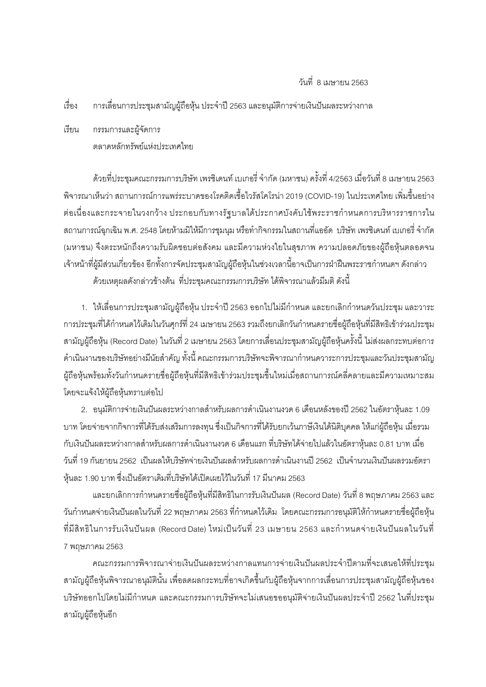## วันที่ 8 เมษายน 2563

้<br>เร็คง ิการเลื่อนการประชุมสามัญผู้ถือหุ้น ประจำปี 2563 และอนุมัติการจ่ายเงินปันผลระหว่างกาล

เรียน กรรมการและผู้จัดการ ตลาดหลักทรัพย์แห่งประเทศไทย

ด้วยที่ประชุมคณะกรรมการบริษัท เพรซิเดนท์ เบเกอรี่ จำกัด (มหาชน) ครั้งที่ 4/2563 เมื่อวันที่ 8 เมษายน 2563 ี พิจารณาเห็นว่า สถานการณ์การแพร่ระบาดของโรคติดเชื้อไวรัสโคโรน่า 2019 (COVID-19) ในประเทศไทย เพิ่มขึ้นอย่าง ้ต่อเนื่องและกระจายในวงกว้าง ประกอบกับทางรัฐบาลได้ประกาศบังคับใช้พระราชกำหนดการบริหารราชการใน ิสถานการณ์ฉกเฉิน พ.ศ. 2548 โดยห้ามมิให้มีการชมนม หรือทำกิจกรรมในสถานที่แออัด บริษัท เพรซิเดนท์ เบเกอรี่ จำกัด (มหาชน) จึงตระหนักถึงความรับผิดชอบต่อสังคม และมีความห่วงใยในสขภาพ ความปลอดภัยของผู้ถือห้นตลอดจน เจ้าหน้าที่ผู้มีส่วนเกี่ยวข้อง อีกทั้งการจัดประชุมสามัญผู้ถือหุ้นในช่วงเวลานี้อาจเป็นการฝ่าฝืนพระราชกำหนดฯ ดังกล่าว

้ด้วยเหตผลดังกล่าวข้างต้น ที่ประชมคณะกรรมการบริษัท ได้พิจารณาแล้วมีมติ ดังนี้

1. ให้เลื่อนการประชุมสามัญผู้ถือหุ้น ประจำปี 2563 ออกไปไม่มีกำหนด และยกเลิกกำหนดวันประชุม และวาระ ี การประชุมที่ได้กำหนดไว้เดิมในวันศุกร์ที่ 24 เมษายน 2563 รวมถึงยกเลิกวันกำหนดรายชื่อผู้ถือหุ้นที่มีสิทธิเข้าร่วมประชุม ี สามัญผู้ถือหุ้น (Record Date) ในวันที่ 2 เมษายน 2563 โดยการเลื่อนประชุมสามัญผู้ถือหุ้นครั้งนี้ ไม่ส่งผลกระทบต่อการ ้ดำเนินงานของบริษัทอย่างมีนัยสำคัญ ทั้งนี้ คณะกรรมการบริษัทจะพิจารณากำหนดวาระการประชุมและวันประชุมสามัญ ผู้ถือหุ้นพร้อมทั้งวันกำหนดรายชื่อผู้ถือหุ้นที่มีสิทธิเข้าร่วมประชุมขึ้นใหม่เมื่อสถานการณ์คลี่คลายและมีความเหมาะสม โดยจะแจ้งให้ผ้ถือห้นทราบต่อไป

2. อนุมัติการจ่ายเงินปันผลระหว่างกาลสำหรับผลการดำเนินงานงวด 6 เดือนหลังของปี 2562 ในอัตราหุ้นละ 1.09 ้บาท โดยจ่ายจากกิจการที่ได้รับส่งเสริมการลงทุน ซึ่งเป็นกิจการที่ได้รับยกเว้นภาษีเงินได้นิติบุคคล ให้แก่ผู้ถือหุ้น เมื่อรวม ้กับเงินปันผลระหว่างกาลสำหรับผลการดำเนินงานงวด 6 เดือนแรก ที่บริษัทได้จ่ายไปแล้วในอัตราห้นละ 0.81 บาท เมื่อ ้วันที่ 19 กันยายน 2562 เป็นผลให้บริษัทจ่ายเงินปันผลสำหรับผลการดำเนินงานปี 2562 เป็นจำนวนเงินปันผลรวมคัตรา ้ ห้นละ 1.90 บาท ซึ่งเป็นอัตราเดิมที่บริษัทได้เปิดเผยไว้ในวันที่ 17 มีนาคม 2563

และยกเลิกการกำหนดรายชื่อผู้ถือหุ้นที่มีสิทธิในการรับเงินปันผล (Record Date) วันที่ 8 พฤษภาคม 2563 และ ้ วันกำหนดจ่ายเงินปันผลในวันที่ 22 พฤษภาคม 2563 ที่กำหนดไว้เดิม โดยคณะกรรมการอนุมัติให้กำหนดรายชื่อผู้ถือหุ้น ู้ที่มีสิทธิในการรับเงินปันผล (Record Date) ใหม่เป็นวันที่ 23 เมษายน 2563 และกำหนดจ่ายเงินปันผลในวันที่ 7 พฤษภาคม 2563

ิคณะกรรมการพิจารณาจ่ายเงินปันผลระหว่างกาลแทนการจ่ายเงินปันผลประจำปีตามที่จะเสนอให้ที่ประชุม สามัญผู้ถือหุ้นพิจารณาอนุมัตินั้น เพื่อลดผลกระทบที่อาจเกิดขึ้นกับผู้ถือหุ้นจากการเลื่อนการประชุมสามัญผู้ถือหุ้นของ บริษัทออกไปโดยไม่มีกำหนด และคณะกรรมการบริษัทจะไม่เสนอขออนุมัติจ่ายเงินปันผลประจำปี 2562 ในที่ประชุม สามัญผู้ถือหุ้นอีก